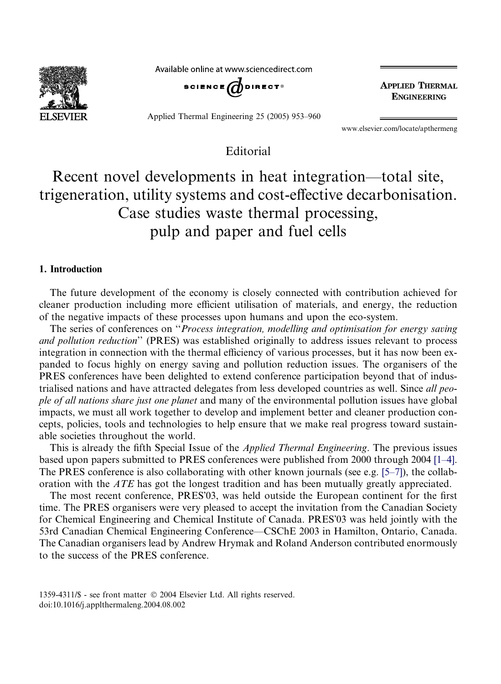

Available online at www.sciencedirect.com



Applied Thermal Engineering 25 (2005) 953–960

**APPLIED THERMAL ENGINEERING** 

www.elsevier.com/locate/apthermeng

# Editorial

# Recent novel developments in heat integration—total site, trigeneration, utility systems and cost-effective decarbonisation. Case studies waste thermal processing, pulp and paper and fuel cells

## 1. Introduction

The future development of the economy is closely connected with contribution achieved for cleaner production including more efficient utilisation of materials, and energy, the reduction of the negative impacts of these processes upon humans and upon the eco-system.

The series of conferences on "Process integration, modelling and optimisation for energy saving and pollution reduction'' (PRES) was established originally to address issues relevant to process integration in connection with the thermal efficiency of various processes, but it has now been expanded to focus highly on energy saving and pollution reduction issues. The organisers of the PRES conferences have been delighted to extend conference participation beyond that of industrialised nations and have attracted delegates from less developed countries as well. Since all people of all nations share just one planet and many of the environmental pollution issues have global impacts, we must all work together to develop and implement better and cleaner production concepts, policies, tools and technologies to help ensure that we make real progress toward sustainable societies throughout the world.

This is already the fifth Special Issue of the Applied Thermal Engineering. The previous issues based upon papers submitted to PRES conferences were published from 2000 through 2004 [\[1–4\].](#page-6-0) The PRES conference is also collaborating with other known journals (see e.g. [\[5–7\]](#page-6-0)), the collaboration with the ATE has got the longest tradition and has been mutually greatly appreciated.

The most recent conference, PRES'03, was held outside the European continent for the first time. The PRES organisers were very pleased to accept the invitation from the Canadian Society for Chemical Engineering and Chemical Institute of Canada. PRES'03 was held jointly with the 53rd Canadian Chemical Engineering Conference—CSChE 2003 in Hamilton, Ontario, Canada. The Canadian organisers lead by Andrew Hrymak and Roland Anderson contributed enormously to the success of the PRES conference.

1359-4311/\$ - see front matter 2004 Elsevier Ltd. All rights reserved. doi:10.1016/j.applthermaleng.2004.08.002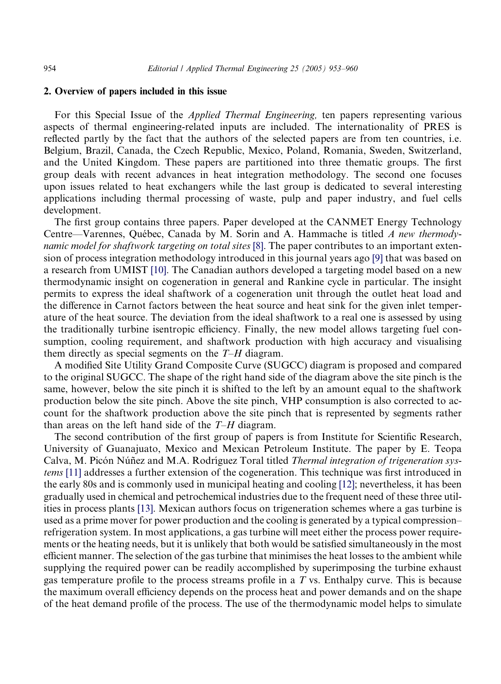#### 2. Overview of papers included in this issue

For this Special Issue of the Applied Thermal Engineering, ten papers representing various aspects of thermal engineering-related inputs are included. The internationality of PRES is reflected partly by the fact that the authors of the selected papers are from ten countries, i.e. Belgium, Brazil, Canada, the Czech Republic, Mexico, Poland, Romania, Sweden, Switzerland, and the United Kingdom. These papers are partitioned into three thematic groups. The first group deals with recent advances in heat integration methodology. The second one focuses upon issues related to heat exchangers while the last group is dedicated to several interesting applications including thermal processing of waste, pulp and paper industry, and fuel cells development.

The first group contains three papers. Paper developed at the CANMET Energy Technology Centre—Varennes, Québec, Canada by M. Sorin and A. Hammache is titled A new thermody-namic model for shaftwork targeting on total sites [\[8\]](#page-6-0). The paper contributes to an important extension of process integration methodology introduced in this journal years ago [\[9\]](#page-6-0) that was based on a research from UMIST [\[10\].](#page-6-0) The Canadian authors developed a targeting model based on a new thermodynamic insight on cogeneration in general and Rankine cycle in particular. The insight permits to express the ideal shaftwork of a cogeneration unit through the outlet heat load and the difference in Carnot factors between the heat source and heat sink for the given inlet temperature of the heat source. The deviation from the ideal shaftwork to a real one is assessed by using the traditionally turbine isentropic efficiency. Finally, the new model allows targeting fuel consumption, cooling requirement, and shaftwork production with high accuracy and visualising them directly as special segments on the  $T-H$  diagram.

A modified Site Utility Grand Composite Curve (SUGCC) diagram is proposed and compared to the original SUGCC. The shape of the right hand side of the diagram above the site pinch is the same, however, below the site pinch it is shifted to the left by an amount equal to the shaftwork production below the site pinch. Above the site pinch, VHP consumption is also corrected to account for the shaftwork production above the site pinch that is represented by segments rather than areas on the left hand side of the  $T-H$  diagram.

The second contribution of the first group of papers is from Institute for Scientific Research, University of Guanajuato, Mexico and Mexican Petroleum Institute. The paper by E. Teopa Calva, M. Picón Núñez and M.A. Rodríguez Toral titled *Thermal integration of trigeneration sys*tems [\[11\]](#page-6-0) addresses a further extension of the cogeneration. This technique was first introduced in the early 80s and is commonly used in municipal heating and cooling [\[12\]](#page-6-0); nevertheless, it has been gradually used in chemical and petrochemical industries due to the frequent need of these three utilities in process plants [\[13\]](#page-6-0). Mexican authors focus on trigeneration schemes where a gas turbine is used as a prime mover for power production and the cooling is generated by a typical compression– refrigeration system. In most applications, a gas turbine will meet either the process power requirements or the heating needs, but it is unlikely that both would be satisfied simultaneously in the most efficient manner. The selection of the gas turbine that minimises the heat losses to the ambient while supplying the required power can be readily accomplished by superimposing the turbine exhaust gas temperature profile to the process streams profile in a  $T$  vs. Enthalpy curve. This is because the maximum overall efficiency depends on the process heat and power demands and on the shape of the heat demand profile of the process. The use of the thermodynamic model helps to simulate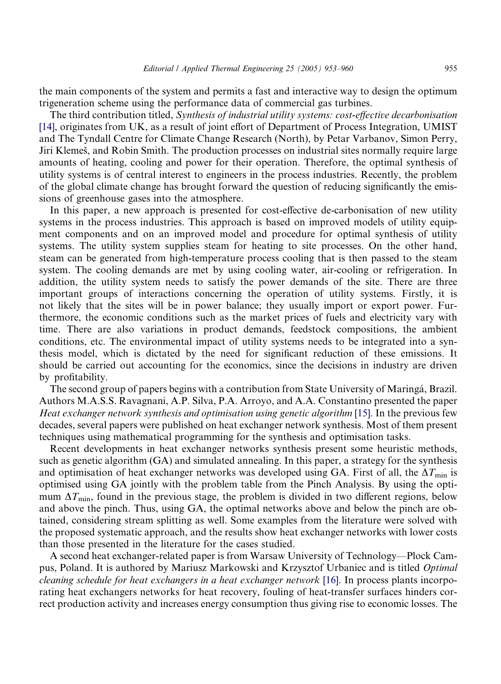the main components of the system and permits a fast and interactive way to design the optimum trigeneration scheme using the performance data of commercial gas turbines.

The third contribution titled, Synthesis of industrial utility systems: cost-effective decarbonisation [\[14\]](#page-6-0), originates from UK, as a result of joint effort of Department of Process Integration, UMIST and The Tyndall Centre for Climate Change Research (North), by Petar Varbanov, Simon Perry, Jiri Klemeš, and Robin Smith. The production processes on industrial sites normally require large amounts of heating, cooling and power for their operation. Therefore, the optimal synthesis of utility systems is of central interest to engineers in the process industries. Recently, the problem of the global climate change has brought forward the question of reducing significantly the emissions of greenhouse gases into the atmosphere.

In this paper, a new approach is presented for cost-effective de-carbonisation of new utility systems in the process industries. This approach is based on improved models of utility equipment components and on an improved model and procedure for optimal synthesis of utility systems. The utility system supplies steam for heating to site processes. On the other hand, steam can be generated from high-temperature process cooling that is then passed to the steam system. The cooling demands are met by using cooling water, air-cooling or refrigeration. In addition, the utility system needs to satisfy the power demands of the site. There are three important groups of interactions concerning the operation of utility systems. Firstly, it is not likely that the sites will be in power balance; they usually import or export power. Furthermore, the economic conditions such as the market prices of fuels and electricity vary with time. There are also variations in product demands, feedstock compositions, the ambient conditions, etc. The environmental impact of utility systems needs to be integrated into a synthesis model, which is dictated by the need for significant reduction of these emissions. It should be carried out accounting for the economics, since the decisions in industry are driven by profitability.

The second group of papers begins with a contribution from State University of Maringá, Brazil. Authors M.A.S.S. Ravagnani, A.P. Silva, P.A. Arroyo, and A.A. Constantino presented the paper Heat exchanger network synthesis and optimisation using genetic algorithm [\[15\]](#page-6-0). In the previous few decades, several papers were published on heat exchanger network synthesis. Most of them present techniques using mathematical programming for the synthesis and optimisation tasks.

Recent developments in heat exchanger networks synthesis present some heuristic methods, such as genetic algorithm (GA) and simulated annealing. In this paper, a strategy for the synthesis and optimisation of heat exchanger networks was developed using GA. First of all, the  $\Delta T_{\text{min}}$  is optimised using GA jointly with the problem table from the Pinch Analysis. By using the optimum  $\Delta T_{\text{min}}$ , found in the previous stage, the problem is divided in two different regions, below and above the pinch. Thus, using GA, the optimal networks above and below the pinch are obtained, considering stream splitting as well. Some examples from the literature were solved with the proposed systematic approach, and the results show heat exchanger networks with lower costs than those presented in the literature for the cases studied.

A second heat exchanger-related paper is from Warsaw University of Technology—Plock Campus, Poland. It is authored by Mariusz Markowski and Krzysztof Urbaniec and is titled Optimal cleaning schedule for heat exchangers in a heat exchanger network [\[16\].](#page-6-0) In process plants incorporating heat exchangers networks for heat recovery, fouling of heat-transfer surfaces hinders correct production activity and increases energy consumption thus giving rise to economic losses. The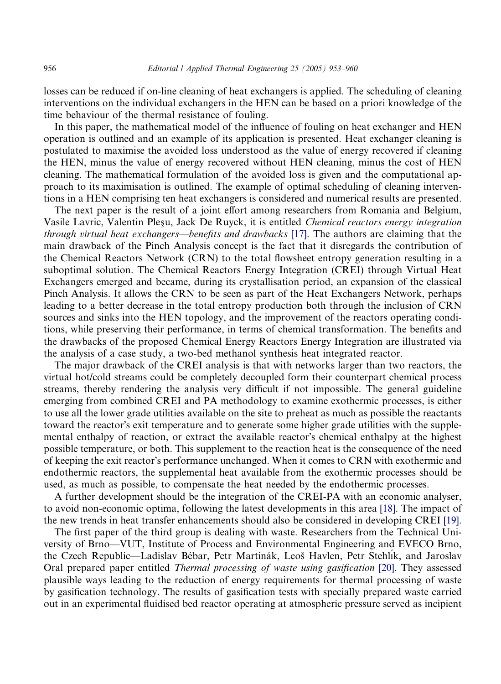losses can be reduced if on-line cleaning of heat exchangers is applied. The scheduling of cleaning interventions on the individual exchangers in the HEN can be based on a priori knowledge of the time behaviour of the thermal resistance of fouling.

In this paper, the mathematical model of the influence of fouling on heat exchanger and HEN operation is outlined and an example of its application is presented. Heat exchanger cleaning is postulated to maximise the avoided loss understood as the value of energy recovered if cleaning the HEN, minus the value of energy recovered without HEN cleaning, minus the cost of HEN cleaning. The mathematical formulation of the avoided loss is given and the computational approach to its maximisation is outlined. The example of optimal scheduling of cleaning interventions in a HEN comprising ten heat exchangers is considered and numerical results are presented.

The next paper is the result of a joint effort among researchers from Romania and Belgium, Vasile Lavric, Valentin Plesu, Jack De Ruyck, it is entitled Chemical reactors energy integration through virtual heat exchangers—benefits and drawbacks [\[17\]](#page-6-0). The authors are claiming that the main drawback of the Pinch Analysis concept is the fact that it disregards the contribution of the Chemical Reactors Network (CRN) to the total flowsheet entropy generation resulting in a suboptimal solution. The Chemical Reactors Energy Integration (CREI) through Virtual Heat Exchangers emerged and became, during its crystallisation period, an expansion of the classical Pinch Analysis. It allows the CRN to be seen as part of the Heat Exchangers Network, perhaps leading to a better decrease in the total entropy production both through the inclusion of CRN sources and sinks into the HEN topology, and the improvement of the reactors operating conditions, while preserving their performance, in terms of chemical transformation. The benefits and the drawbacks of the proposed Chemical Energy Reactors Energy Integration are illustrated via the analysis of a case study, a two-bed methanol synthesis heat integrated reactor.

The major drawback of the CREI analysis is that with networks larger than two reactors, the virtual hot/cold streams could be completely decoupled form their counterpart chemical process streams, thereby rendering the analysis very difficult if not impossible. The general guideline emerging from combined CREI and PA methodology to examine exothermic processes, is either to use all the lower grade utilities available on the site to preheat as much as possible the reactants toward the reactor's exit temperature and to generate some higher grade utilities with the supplemental enthalpy of reaction, or extract the available reactor's chemical enthalpy at the highest possible temperature, or both. This supplement to the reaction heat is the consequence of the need of keeping the exit reactor's performance unchanged. When it comes to CRN with exothermic and endothermic reactors, the supplemental heat available from the exothermic processes should be used, as much as possible, to compensate the heat needed by the endothermic processes.

A further development should be the integration of the CREI-PA with an economic analyser, to avoid non-economic optima, following the latest developments in this area [\[18\].](#page-6-0) The impact of the new trends in heat transfer enhancements should also be considered in developing CREI [\[19\].](#page-6-0)

The first paper of the third group is dealing with waste. Researchers from the Technical University of Brno—VUT, Institute of Process and Environmental Engineering and EVECO Brno, the Czech Republic—Ladislav Bébar, Petr Martinák, Leoš Havlen, Petr Stehlik, and Jaroslav Oral prepared paper entitled Thermal processing of waste using gasification [\[20\]](#page-6-0). They assessed plausible ways leading to the reduction of energy requirements for thermal processing of waste by gasification technology. The results of gasification tests with specially prepared waste carried out in an experimental fluidised bed reactor operating at atmospheric pressure served as incipient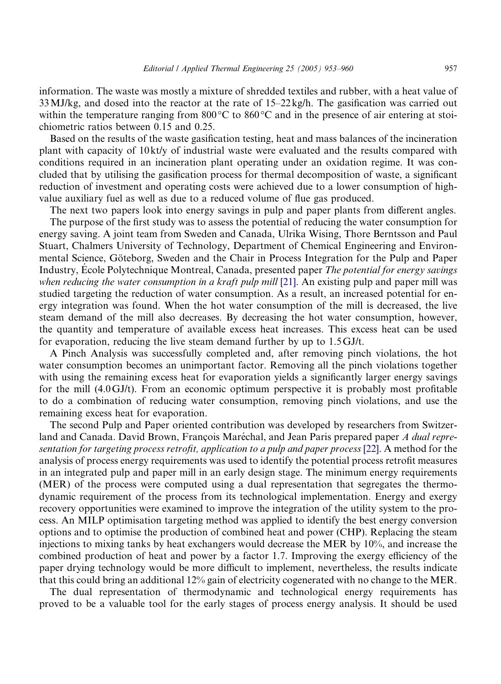information. The waste was mostly a mixture of shredded textiles and rubber, with a heat value of 33MJ/kg, and dosed into the reactor at the rate of 15–22 kg/h. The gasification was carried out within the temperature ranging from  $800^{\circ}$ C to  $860^{\circ}$ C and in the presence of air entering at stoichiometric ratios between 0.15 and 0.25.

Based on the results of the waste gasification testing, heat and mass balances of the incineration plant with capacity of 10 kt/y of industrial waste were evaluated and the results compared with conditions required in an incineration plant operating under an oxidation regime. It was concluded that by utilising the gasification process for thermal decomposition of waste, a significant reduction of investment and operating costs were achieved due to a lower consumption of highvalue auxiliary fuel as well as due to a reduced volume of flue gas produced.

The next two papers look into energy savings in pulp and paper plants from different angles. The purpose of the first study was to assess the potential of reducing the water consumption for energy saving. A joint team from Sweden and Canada, Ulrika Wising, Thore Berntsson and Paul Stuart, Chalmers University of Technology, Department of Chemical Engineering and Environmental Science, Göteborg, Sweden and the Chair in Process Integration for the Pulp and Paper Industry, Ecole Polytechnique Montreal, Canada, presented paper The potential for energy savings when reducing the water consumption in a kraft pulp mill  $[21]$ . An existing pulp and paper mill was studied targeting the reduction of water consumption. As a result, an increased potential for energy integration was found. When the hot water consumption of the mill is decreased, the live steam demand of the mill also decreases. By decreasing the hot water consumption, however, the quantity and temperature of available excess heat increases. This excess heat can be used for evaporation, reducing the live steam demand further by up to 1.5GJ/t.

A Pinch Analysis was successfully completed and, after removing pinch violations, the hot water consumption becomes an unimportant factor. Removing all the pinch violations together with using the remaining excess heat for evaporation yields a significantly larger energy savings for the mill (4.0GJ/t). From an economic optimum perspective it is probably most profitable to do a combination of reducing water consumption, removing pinch violations, and use the remaining excess heat for evaporation.

The second Pulp and Paper oriented contribution was developed by researchers from Switzerland and Canada. David Brown, François Maréchal, and Jean Paris prepared paper A dual representation for targeting process retrofit, application to a pulp and paper process [\[22\].](#page-7-0) A method for the analysis of process energy requirements was used to identify the potential process retrofit measures in an integrated pulp and paper mill in an early design stage. The minimum energy requirements (MER) of the process were computed using a dual representation that segregates the thermodynamic requirement of the process from its technological implementation. Energy and exergy recovery opportunities were examined to improve the integration of the utility system to the process. An MILP optimisation targeting method was applied to identify the best energy conversion options and to optimise the production of combined heat and power (CHP). Replacing the steam injections to mixing tanks by heat exchangers would decrease the MER by 10%, and increase the combined production of heat and power by a factor 1.7. Improving the exergy efficiency of the paper drying technology would be more difficult to implement, nevertheless, the results indicate that this could bring an additional 12% gain of electricity cogenerated with no change to the MER.

The dual representation of thermodynamic and technological energy requirements has proved to be a valuable tool for the early stages of process energy analysis. It should be used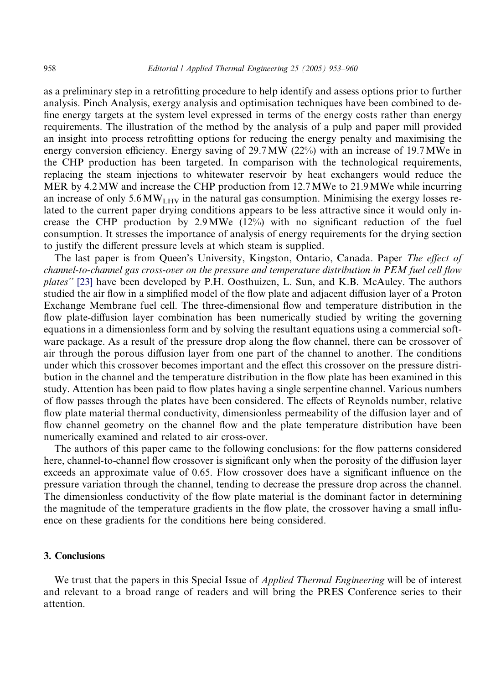as a preliminary step in a retrofitting procedure to help identify and assess options prior to further analysis. Pinch Analysis, exergy analysis and optimisation techniques have been combined to define energy targets at the system level expressed in terms of the energy costs rather than energy requirements. The illustration of the method by the analysis of a pulp and paper mill provided an insight into process retrofitting options for reducing the energy penalty and maximising the energy conversion efficiency. Energy saving of 29.7MW (22%) with an increase of 19.7MWe in the CHP production has been targeted. In comparison with the technological requirements, replacing the steam injections to whitewater reservoir by heat exchangers would reduce the MER by 4.2MW and increase the CHP production from 12.7MWe to 21.9MWe while incurring an increase of only  $5.6\,\text{MW}_{LHV}$  in the natural gas consumption. Minimising the exergy losses related to the current paper drying conditions appears to be less attractive since it would only increase the CHP production by  $2.9 \text{ MWe } (12\%)$  with no significant reduction of the fuel consumption. It stresses the importance of analysis of energy requirements for the drying section to justify the different pressure levels at which steam is supplied.

The last paper is from Queen's University, Kingston, Ontario, Canada. Paper The effect of channel-to-channel gas cross-over on the pressure and temperature distribution in PEM fuel cell flow plates'' [\[23\]](#page-7-0) have been developed by P.H. Oosthuizen, L. Sun, and K.B. McAuley. The authors studied the air flow in a simplified model of the flow plate and adjacent diffusion layer of a Proton Exchange Membrane fuel cell. The three-dimensional flow and temperature distribution in the flow plate-diffusion layer combination has been numerically studied by writing the governing equations in a dimensionless form and by solving the resultant equations using a commercial software package. As a result of the pressure drop along the flow channel, there can be crossover of air through the porous diffusion layer from one part of the channel to another. The conditions under which this crossover becomes important and the effect this crossover on the pressure distribution in the channel and the temperature distribution in the flow plate has been examined in this study. Attention has been paid to flow plates having a single serpentine channel. Various numbers of flow passes through the plates have been considered. The effects of Reynolds number, relative flow plate material thermal conductivity, dimensionless permeability of the diffusion layer and of flow channel geometry on the channel flow and the plate temperature distribution have been numerically examined and related to air cross-over.

The authors of this paper came to the following conclusions: for the flow patterns considered here, channel-to-channel flow crossover is significant only when the porosity of the diffusion layer exceeds an approximate value of 0.65. Flow crossover does have a significant influence on the pressure variation through the channel, tending to decrease the pressure drop across the channel. The dimensionless conductivity of the flow plate material is the dominant factor in determining the magnitude of the temperature gradients in the flow plate, the crossover having a small influence on these gradients for the conditions here being considered.

#### 3. Conclusions

We trust that the papers in this Special Issue of *Applied Thermal Engineering* will be of interest and relevant to a broad range of readers and will bring the PRES Conference series to their attention.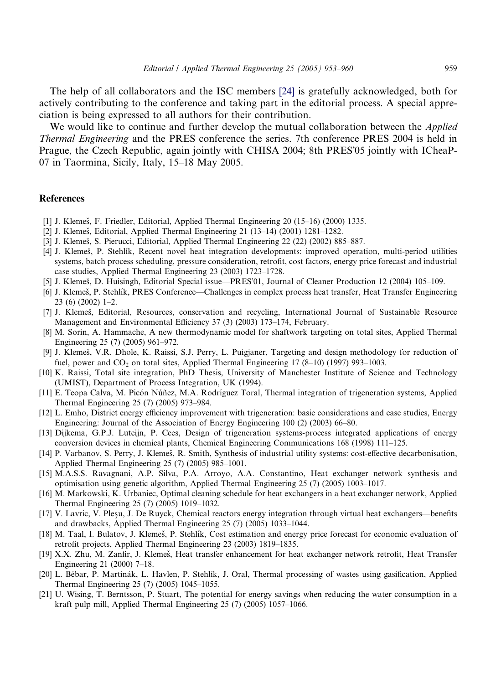<span id="page-6-0"></span>The help of all collaborators and the ISC members [\[24\]](#page-7-0) is gratefully acknowledged, both for actively contributing to the conference and taking part in the editorial process. A special appreciation is being expressed to all authors for their contribution.

We would like to continue and further develop the mutual collaboration between the *Applied* Thermal Engineering and the PRES conference the series. 7th conference PRES 2004 is held in Prague, the Czech Republic, again jointly with CHISA 2004; 8th PRES05 jointly with ICheaP-07 in Taormina, Sicily, Italy, 15–18 May 2005.

### References

- [1] J. Klemeš, F. Friedler, Editorial, Applied Thermal Engineering 20 (15-16) (2000) 1335.
- [2] J. Klemeš, Editorial, Applied Thermal Engineering 21 (13–14) (2001) 1281–1282.
- [3] J. Klemeš, S. Pierucci, Editorial, Applied Thermal Engineering 22 (22) (2002) 885–887.
- [4] J. Klemeš, P. Stehlík, Recent novel heat integration developments: improved operation, multi-period utilities systems, batch process scheduling, pressure consideration, retrofit, cost factors, energy price forecast and industrial case studies, Applied Thermal Engineering 23 (2003) 1723–1728.
- [5] J. Klemeš, D. Huisingh, Editorial Special issue—PRES'01, Journal of Cleaner Production 12 (2004) 105–109.
- [6] J. Klemeš, P. Stehlík, PRES Conference—Challenges in complex process heat transfer, Heat Transfer Engineering 23 (6) (2002) 1–2.
- [7] J. Klemeš, Editorial, Resources, conservation and recycling, International Journal of Sustainable Resource Management and Environmental Efficiency 37 (3) (2003) 173–174, February.
- [8] M. Sorin, A. Hammache, A new thermodynamic model for shaftwork targeting on total sites, Applied Thermal Engineering 25 (7) (2005) 961–972.
- [9] J. Klemeš, V.R. Dhole, K. Raissi, S.J. Perry, L. Puigjaner, Targeting and design methodology for reduction of fuel, power and  $CO_2$  on total sites, Applied Thermal Engineering 17  $(8-10)$  (1997) 993-1003.
- [10] K. Raissi, Total site integration, PhD Thesis, University of Manchester Institute of Science and Technology (UMIST), Department of Process Integration, UK (1994).
- [11] E. Teopa Calva, M. Picón Núñez, M.A. Rodríguez Toral, Thermal integration of trigeneration systems, Applied Thermal Engineering 25 (7) (2005) 973–984.
- [12] L. Emho, District energy efficiency improvement with trigeneration: basic considerations and case studies, Energy Engineering: Journal of the Association of Energy Engineering 100 (2) (2003) 66–80.
- [13] Dijkema, G.P.J. Luteijn, P. Cees, Design of trigeneration systems-process integrated applications of energy conversion devices in chemical plants, Chemical Engineering Communications 168 (1998) 111–125.
- [14] P. Varbanov, S. Perry, J. Klemeš, R. Smith, Synthesis of industrial utility systems: cost-effective decarbonisation, Applied Thermal Engineering 25 (7) (2005) 985–1001.
- [15] M.A.S.S. Ravagnani, A.P. Silva, P.A. Arroyo, A.A. Constantino, Heat exchanger network synthesis and optimisation using genetic algorithm, Applied Thermal Engineering 25 (7) (2005) 1003–1017.
- [16] M. Markowski, K. Urbaniec, Optimal cleaning schedule for heat exchangers in a heat exchanger network, Applied Thermal Engineering 25 (7) (2005) 1019–1032.
- [17] V. Lavric, V. Plesu, J. De Ruyck, Chemical reactors energy integration through virtual heat exchangers—benefits and drawbacks, Applied Thermal Engineering 25 (7) (2005) 1033–1044.
- [18] M. Taal, I. Bulatov, J. Klemeš, P. Stehlík, Cost estimation and energy price forecast for economic evaluation of retrofit projects, Applied Thermal Engineering 23 (2003) 1819–1835.
- [19] X.X. Zhu, M. Zanfir, J. Klemeš, Heat transfer enhancement for heat exchanger network retrofit, Heat Transfer Engineering 21 (2000) 7–18.
- [20] L. Bébar, P. Martinák, L. Havlen, P. Stehlík, J. Oral, Thermal processing of wastes using gasification, Applied Thermal Engineering 25 (7) (2005) 1045–1055.
- [21] U. Wising, T. Berntsson, P. Stuart, The potential for energy savings when reducing the water consumption in a kraft pulp mill, Applied Thermal Engineering 25 (7) (2005) 1057–1066.